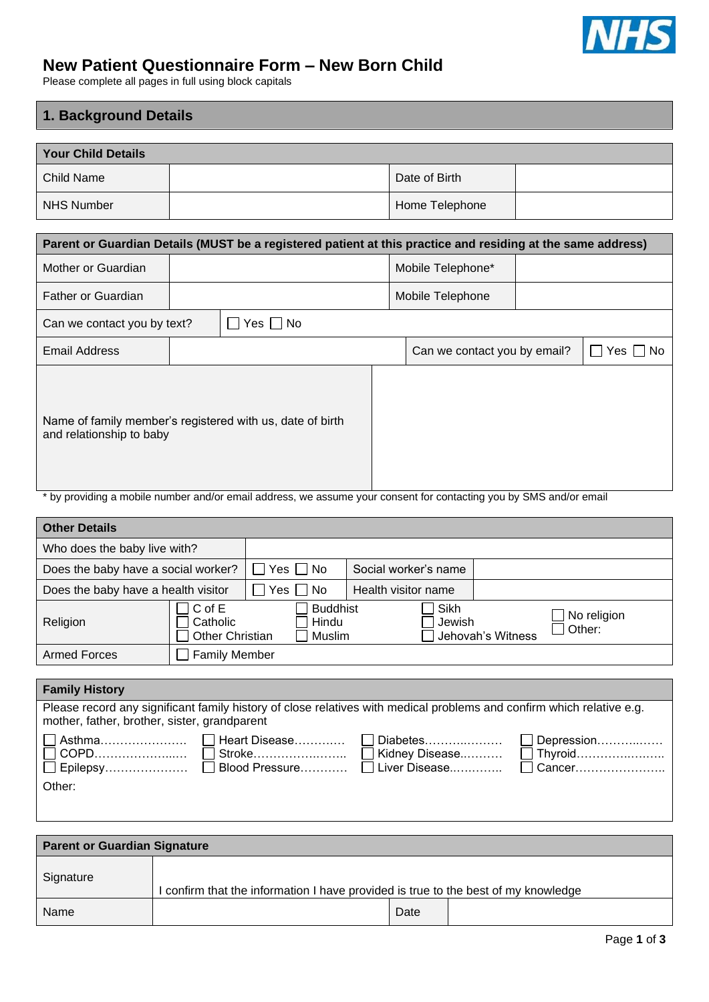

# **New Patient Questionnaire Form – New Born Child**

Please complete all pages in full using block capitals

# **1. Background Details**

| <b>Your Child Details</b>                                                                                                                                                                                                                                                                                                                    |                      |                                                                                                                              |  |                              |  |                    |
|----------------------------------------------------------------------------------------------------------------------------------------------------------------------------------------------------------------------------------------------------------------------------------------------------------------------------------------------|----------------------|------------------------------------------------------------------------------------------------------------------------------|--|------------------------------|--|--------------------|
| <b>Child Name</b>                                                                                                                                                                                                                                                                                                                            |                      |                                                                                                                              |  | Date of Birth                |  |                    |
| <b>NHS Number</b>                                                                                                                                                                                                                                                                                                                            |                      |                                                                                                                              |  | Home Telephone               |  |                    |
| Parent or Guardian Details (MUST be a registered patient at this practice and residing at the same address)                                                                                                                                                                                                                                  |                      |                                                                                                                              |  |                              |  |                    |
| Mother or Guardian                                                                                                                                                                                                                                                                                                                           |                      |                                                                                                                              |  | Mobile Telephone*            |  |                    |
| <b>Father or Guardian</b>                                                                                                                                                                                                                                                                                                                    |                      |                                                                                                                              |  | Mobile Telephone             |  |                    |
| Can we contact you by text?                                                                                                                                                                                                                                                                                                                  |                      | Yes $\Box$ No                                                                                                                |  |                              |  |                    |
| <b>Email Address</b>                                                                                                                                                                                                                                                                                                                         |                      |                                                                                                                              |  | Can we contact you by email? |  | $Yes \mid \mid No$ |
| Name of family member's registered with us, date of birth<br>and relationship to baby<br>* by providing a mobile number and/or email address, we assume your consent for contacting you by SMS and/or email                                                                                                                                  |                      |                                                                                                                              |  |                              |  |                    |
| <b>Other Details</b>                                                                                                                                                                                                                                                                                                                         |                      |                                                                                                                              |  |                              |  |                    |
| Who does the baby live with?                                                                                                                                                                                                                                                                                                                 |                      |                                                                                                                              |  |                              |  |                    |
| Does the baby have a social worker?                                                                                                                                                                                                                                                                                                          |                      | No<br>Yes                                                                                                                    |  | Social worker's name         |  |                    |
| Does the baby have a health visitor                                                                                                                                                                                                                                                                                                          |                      | No<br>Yes                                                                                                                    |  | Health visitor name          |  |                    |
| Religion                                                                                                                                                                                                                                                                                                                                     | C of E<br>Catholic   | <b>Buddhist</b><br>Sikh<br>No religion<br>Hindu<br>Jewish<br>Other:<br><b>Other Christian</b><br>Jehovah's Witness<br>Muslim |  |                              |  |                    |
| <b>Armed Forces</b>                                                                                                                                                                                                                                                                                                                          | <b>Family Member</b> |                                                                                                                              |  |                              |  |                    |
| <b>Family History</b>                                                                                                                                                                                                                                                                                                                        |                      |                                                                                                                              |  |                              |  |                    |
| Please record any significant family history of close relatives with medical problems and confirm which relative e.g.<br>mother, father, brother, sister, grandparent<br>Heart Disease<br>Asthma<br>Diabetes<br>Depression<br>Thyroid<br>COPD<br>Stroke<br>Kidney Disease<br>Blood Pressure<br>Liver Disease<br>Cancer<br>Epilepsy<br>Other: |                      |                                                                                                                              |  |                              |  |                    |
| <b>Parent or Guardian Signature</b>                                                                                                                                                                                                                                                                                                          |                      |                                                                                                                              |  |                              |  |                    |

| Signature |                                                                                    |      |  |  |
|-----------|------------------------------------------------------------------------------------|------|--|--|
|           | I confirm that the information I have provided is true to the best of my knowledge |      |  |  |
| Name      |                                                                                    | Date |  |  |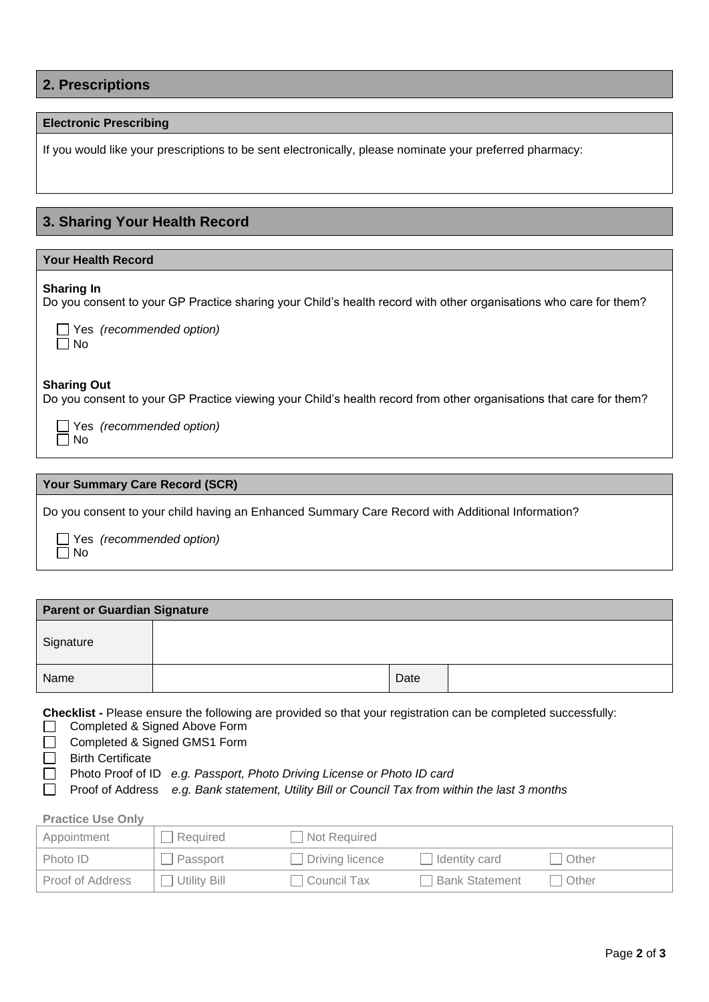## **Electronic Prescribing**

If you would like your prescriptions to be sent electronically, please nominate your preferred pharmacy:

# **3. Sharing Your Health Record**

### **Your Health Record**

#### **Sharing In**

Do you consent to your GP Practice sharing your Child's health record with other organisations who care for them?

| J<br>ר |
|--------|

Yes *(recommended option)*

#### **Sharing Out**

Do you consent to your GP Practice viewing your Child's health record from other organisations that care for them?

 Yes *(recommended option)*  $\Box$  No

## **Your Summary Care Record (SCR)**

Do you consent to your child having an Enhanced Summary Care Record with Additional Information?

 Yes *(recommended option)*  $\overline{\Box}$  No

| <b>Parent or Guardian Signature</b> |  |      |  |
|-------------------------------------|--|------|--|
| Signature                           |  |      |  |
| Name                                |  | Date |  |

**Checklist -** Please ensure the following are provided so that your registration can be completed successfully:

- Completed & Signed Above Form
- Completed & Signed GMS1 Form  $\Box$
- □ Birth Certificate
- Photo Proof of ID *e.g. Passport, Photo Driving License or Photo ID card*
- Proof of Address *e.g. Bank statement, Utility Bill or Council Tax from within the last 3 months*

## **Practice Use Only**

| Appointment             | Required     | Not Required           |                      |       |
|-------------------------|--------------|------------------------|----------------------|-------|
| Photo ID                | Passport     | $\Box$ Driving licence | $\Box$ Identity card | Other |
| <b>Proof of Address</b> | Utility Bill | l Council Tax          | Bank Statement       | Other |